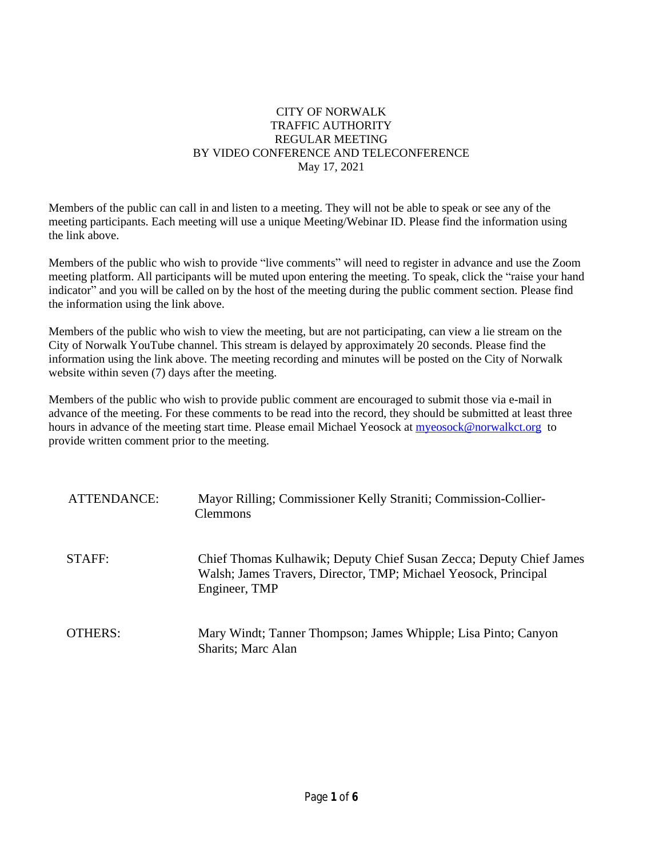# CITY OF NORWALK TRAFFIC AUTHORITY REGULAR MEETING BY VIDEO CONFERENCE AND TELECONFERENCE May 17, 2021

Members of the public can call in and listen to a meeting. They will not be able to speak or see any of the meeting participants. Each meeting will use a unique Meeting/Webinar ID. Please find the information using the link above.

Members of the public who wish to provide "live comments" will need to register in advance and use the Zoom meeting platform. All participants will be muted upon entering the meeting. To speak, click the "raise your hand indicator" and you will be called on by the host of the meeting during the public comment section. Please find the information using the link above.

Members of the public who wish to view the meeting, but are not participating, can view a lie stream on the City of Norwalk YouTube channel. This stream is delayed by approximately 20 seconds. Please find the information using the link above. The meeting recording and minutes will be posted on the City of Norwalk website within seven (7) days after the meeting.

Members of the public who wish to provide public comment are encouraged to submit those via e-mail in advance of the meeting. For these comments to be read into the record, they should be submitted at least three hours in advance of the meeting start time. Please email Michael Yeosock at [myeosock@norwalkct.org](mailto:myeosock@norwalkct.org) to provide written comment prior to the meeting.

| ATTENDANCE: | Mayor Rilling; Commissioner Kelly Straniti; Commission-Collier-<br><b>Clemmons</b>                                                                      |
|-------------|---------------------------------------------------------------------------------------------------------------------------------------------------------|
| STAFF:      | Chief Thomas Kulhawik; Deputy Chief Susan Zecca; Deputy Chief James<br>Walsh; James Travers, Director, TMP; Michael Yeosock, Principal<br>Engineer, TMP |
| OTHERS:     | Mary Windt; Tanner Thompson; James Whipple; Lisa Pinto; Canyon<br><b>Sharits</b> ; Marc Alan                                                            |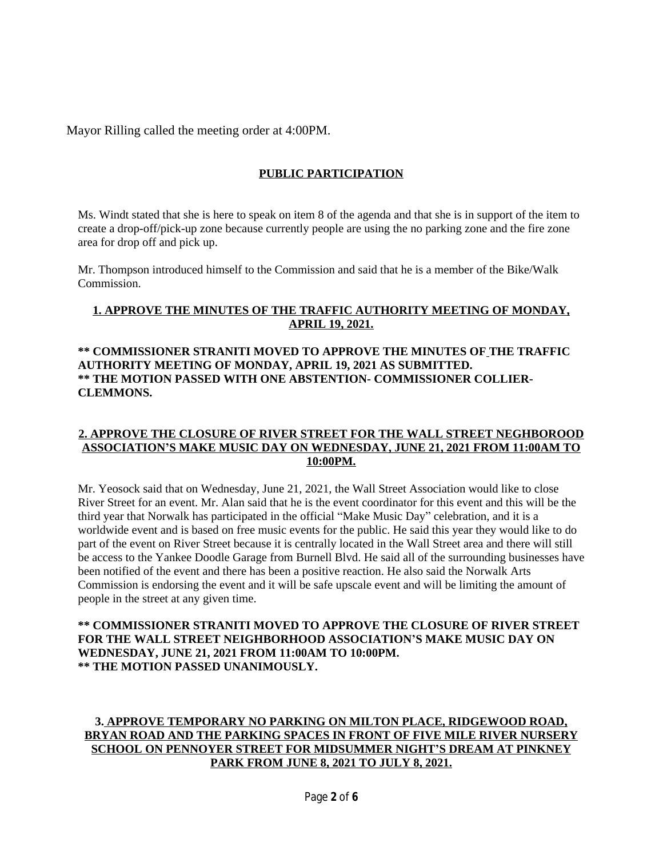Mayor Rilling called the meeting order at 4:00PM.

# **PUBLIC PARTICIPATION**

Ms. Windt stated that she is here to speak on item 8 of the agenda and that she is in support of the item to create a drop-off/pick-up zone because currently people are using the no parking zone and the fire zone area for drop off and pick up.

Mr. Thompson introduced himself to the Commission and said that he is a member of the Bike/Walk Commission.

# **1. APPROVE THE MINUTES OF THE TRAFFIC AUTHORITY MEETING OF MONDAY, APRIL 19, 2021.**

## **\*\* COMMISSIONER STRANITI MOVED TO APPROVE THE MINUTES OF THE TRAFFIC AUTHORITY MEETING OF MONDAY, APRIL 19, 2021 AS SUBMITTED. \*\* THE MOTION PASSED WITH ONE ABSTENTION- COMMISSIONER COLLIER-CLEMMONS.**

#### **2. APPROVE THE CLOSURE OF RIVER STREET FOR THE WALL STREET NEGHBOROOD ASSOCIATION'S MAKE MUSIC DAY ON WEDNESDAY, JUNE 21, 2021 FROM 11:00AM TO 10:00PM.**

Mr. Yeosock said that on Wednesday, June 21, 2021, the Wall Street Association would like to close River Street for an event. Mr. Alan said that he is the event coordinator for this event and this will be the third year that Norwalk has participated in the official "Make Music Day" celebration, and it is a worldwide event and is based on free music events for the public. He said this year they would like to do part of the event on River Street because it is centrally located in the Wall Street area and there will still be access to the Yankee Doodle Garage from Burnell Blvd. He said all of the surrounding businesses have been notified of the event and there has been a positive reaction. He also said the Norwalk Arts Commission is endorsing the event and it will be safe upscale event and will be limiting the amount of people in the street at any given time.

## **\*\* COMMISSIONER STRANITI MOVED TO APPROVE THE CLOSURE OF RIVER STREET FOR THE WALL STREET NEIGHBORHOOD ASSOCIATION'S MAKE MUSIC DAY ON WEDNESDAY, JUNE 21, 2021 FROM 11:00AM TO 10:00PM. \*\* THE MOTION PASSED UNANIMOUSLY.**

# **3. APPROVE TEMPORARY NO PARKING ON MILTON PLACE, RIDGEWOOD ROAD, BRYAN ROAD AND THE PARKING SPACES IN FRONT OF FIVE MILE RIVER NURSERY SCHOOL ON PENNOYER STREET FOR MIDSUMMER NIGHT'S DREAM AT PINKNEY PARK FROM JUNE 8, 2021 TO JULY 8, 2021.**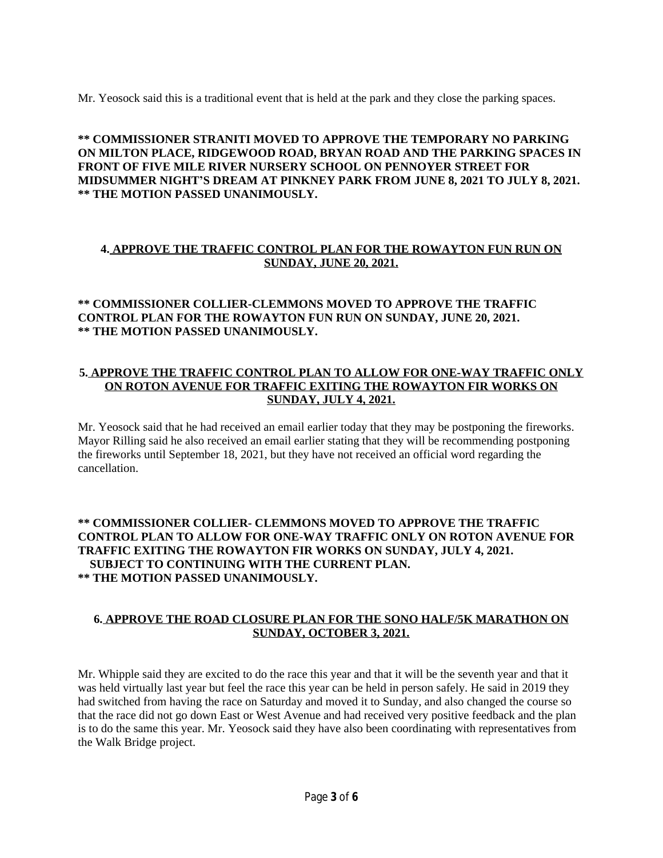Mr. Yeosock said this is a traditional event that is held at the park and they close the parking spaces.

#### **\*\* COMMISSIONER STRANITI MOVED TO APPROVE THE TEMPORARY NO PARKING ON MILTON PLACE, RIDGEWOOD ROAD, BRYAN ROAD AND THE PARKING SPACES IN FRONT OF FIVE MILE RIVER NURSERY SCHOOL ON PENNOYER STREET FOR MIDSUMMER NIGHT'S DREAM AT PINKNEY PARK FROM JUNE 8, 2021 TO JULY 8, 2021. \*\* THE MOTION PASSED UNANIMOUSLY.**

# **4. APPROVE THE TRAFFIC CONTROL PLAN FOR THE ROWAYTON FUN RUN ON SUNDAY, JUNE 20, 2021.**

# **\*\* COMMISSIONER COLLIER-CLEMMONS MOVED TO APPROVE THE TRAFFIC CONTROL PLAN FOR THE ROWAYTON FUN RUN ON SUNDAY, JUNE 20, 2021. \*\* THE MOTION PASSED UNANIMOUSLY.**

## **5. APPROVE THE TRAFFIC CONTROL PLAN TO ALLOW FOR ONE-WAY TRAFFIC ONLY ON ROTON AVENUE FOR TRAFFIC EXITING THE ROWAYTON FIR WORKS ON SUNDAY, JULY 4, 2021.**

Mr. Yeosock said that he had received an email earlier today that they may be postponing the fireworks. Mayor Rilling said he also received an email earlier stating that they will be recommending postponing the fireworks until September 18, 2021, but they have not received an official word regarding the cancellation.

**\*\* COMMISSIONER COLLIER- CLEMMONS MOVED TO APPROVE THE TRAFFIC CONTROL PLAN TO ALLOW FOR ONE-WAY TRAFFIC ONLY ON ROTON AVENUE FOR TRAFFIC EXITING THE ROWAYTON FIR WORKS ON SUNDAY, JULY 4, 2021. SUBJECT TO CONTINUING WITH THE CURRENT PLAN. \*\* THE MOTION PASSED UNANIMOUSLY.**

## **6. APPROVE THE ROAD CLOSURE PLAN FOR THE SONO HALF/5K MARATHON ON SUNDAY, OCTOBER 3, 2021.**

Mr. Whipple said they are excited to do the race this year and that it will be the seventh year and that it was held virtually last year but feel the race this year can be held in person safely. He said in 2019 they had switched from having the race on Saturday and moved it to Sunday, and also changed the course so that the race did not go down East or West Avenue and had received very positive feedback and the plan is to do the same this year. Mr. Yeosock said they have also been coordinating with representatives from the Walk Bridge project.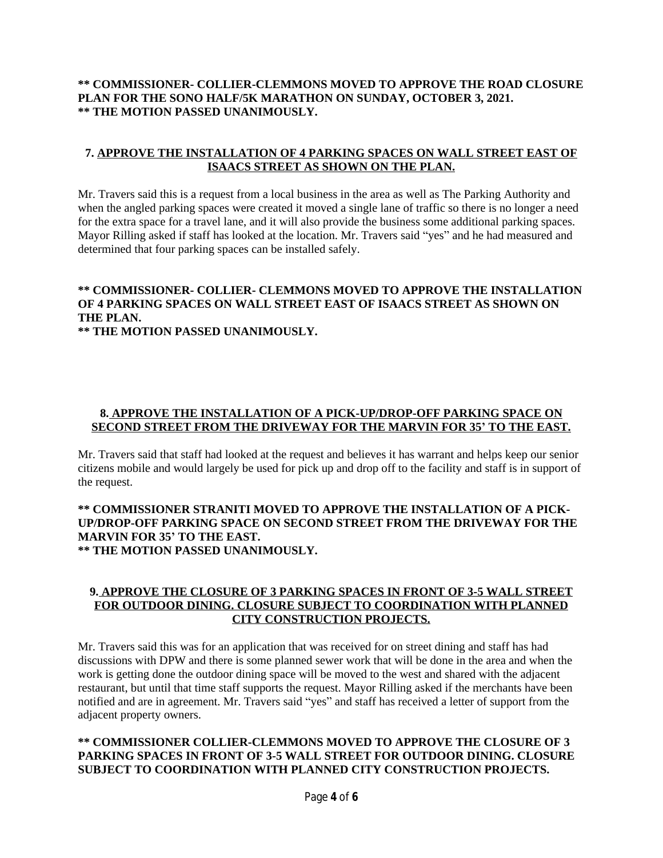# **\*\* COMMISSIONER- COLLIER-CLEMMONS MOVED TO APPROVE THE ROAD CLOSURE PLAN FOR THE SONO HALF/5K MARATHON ON SUNDAY, OCTOBER 3, 2021. \*\* THE MOTION PASSED UNANIMOUSLY.**

# **7. APPROVE THE INSTALLATION OF 4 PARKING SPACES ON WALL STREET EAST OF ISAACS STREET AS SHOWN ON THE PLAN.**

Mr. Travers said this is a request from a local business in the area as well as The Parking Authority and when the angled parking spaces were created it moved a single lane of traffic so there is no longer a need for the extra space for a travel lane, and it will also provide the business some additional parking spaces. Mayor Rilling asked if staff has looked at the location. Mr. Travers said "yes" and he had measured and determined that four parking spaces can be installed safely.

# **\*\* COMMISSIONER- COLLIER- CLEMMONS MOVED TO APPROVE THE INSTALLATION OF 4 PARKING SPACES ON WALL STREET EAST OF ISAACS STREET AS SHOWN ON THE PLAN.**

**\*\* THE MOTION PASSED UNANIMOUSLY.**

# **8. APPROVE THE INSTALLATION OF A PICK-UP/DROP-OFF PARKING SPACE ON SECOND STREET FROM THE DRIVEWAY FOR THE MARVIN FOR 35' TO THE EAST.**

Mr. Travers said that staff had looked at the request and believes it has warrant and helps keep our senior citizens mobile and would largely be used for pick up and drop off to the facility and staff is in support of the request.

#### **\*\* COMMISSIONER STRANITI MOVED TO APPROVE THE INSTALLATION OF A PICK-UP/DROP-OFF PARKING SPACE ON SECOND STREET FROM THE DRIVEWAY FOR THE MARVIN FOR 35' TO THE EAST. \*\* THE MOTION PASSED UNANIMOUSLY.**

#### **9. APPROVE THE CLOSURE OF 3 PARKING SPACES IN FRONT OF 3-5 WALL STREET FOR OUTDOOR DINING. CLOSURE SUBJECT TO COORDINATION WITH PLANNED CITY CONSTRUCTION PROJECTS.**

Mr. Travers said this was for an application that was received for on street dining and staff has had discussions with DPW and there is some planned sewer work that will be done in the area and when the work is getting done the outdoor dining space will be moved to the west and shared with the adjacent restaurant, but until that time staff supports the request. Mayor Rilling asked if the merchants have been notified and are in agreement. Mr. Travers said "yes" and staff has received a letter of support from the adjacent property owners.

# **\*\* COMMISSIONER COLLIER-CLEMMONS MOVED TO APPROVE THE CLOSURE OF 3 PARKING SPACES IN FRONT OF 3-5 WALL STREET FOR OUTDOOR DINING. CLOSURE SUBJECT TO COORDINATION WITH PLANNED CITY CONSTRUCTION PROJECTS.**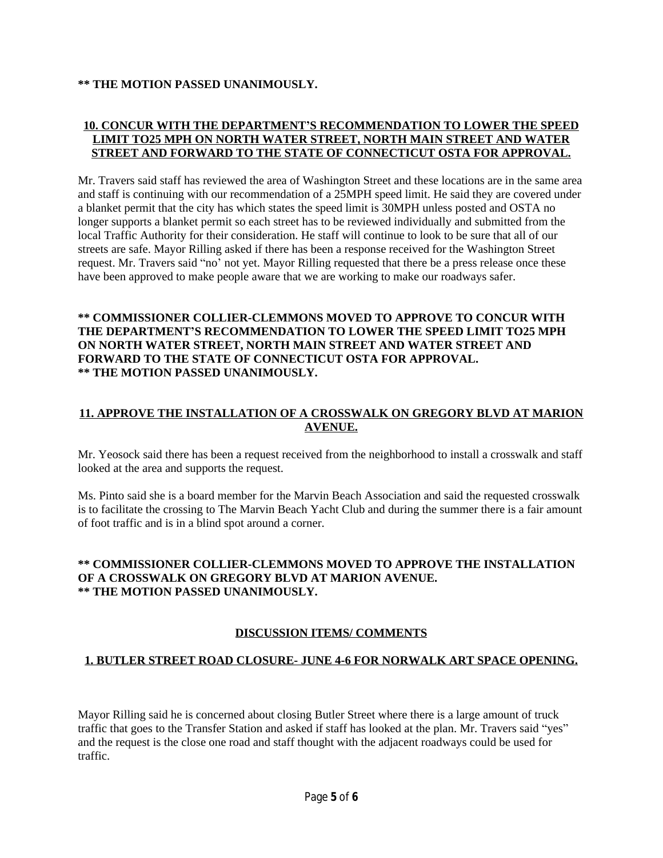#### **\*\* THE MOTION PASSED UNANIMOUSLY.**

#### **10. CONCUR WITH THE DEPARTMENT'S RECOMMENDATION TO LOWER THE SPEED LIMIT TO25 MPH ON NORTH WATER STREET, NORTH MAIN STREET AND WATER STREET AND FORWARD TO THE STATE OF CONNECTICUT OSTA FOR APPROVAL.**

Mr. Travers said staff has reviewed the area of Washington Street and these locations are in the same area and staff is continuing with our recommendation of a 25MPH speed limit. He said they are covered under a blanket permit that the city has which states the speed limit is 30MPH unless posted and OSTA no longer supports a blanket permit so each street has to be reviewed individually and submitted from the local Traffic Authority for their consideration. He staff will continue to look to be sure that all of our streets are safe. Mayor Rilling asked if there has been a response received for the Washington Street request. Mr. Travers said "no' not yet. Mayor Rilling requested that there be a press release once these have been approved to make people aware that we are working to make our roadways safer.

## **\*\* COMMISSIONER COLLIER-CLEMMONS MOVED TO APPROVE TO CONCUR WITH THE DEPARTMENT'S RECOMMENDATION TO LOWER THE SPEED LIMIT TO25 MPH ON NORTH WATER STREET, NORTH MAIN STREET AND WATER STREET AND FORWARD TO THE STATE OF CONNECTICUT OSTA FOR APPROVAL. \*\* THE MOTION PASSED UNANIMOUSLY.**

# **11. APPROVE THE INSTALLATION OF A CROSSWALK ON GREGORY BLVD AT MARION AVENUE.**

Mr. Yeosock said there has been a request received from the neighborhood to install a crosswalk and staff looked at the area and supports the request.

Ms. Pinto said she is a board member for the Marvin Beach Association and said the requested crosswalk is to facilitate the crossing to The Marvin Beach Yacht Club and during the summer there is a fair amount of foot traffic and is in a blind spot around a corner.

# **\*\* COMMISSIONER COLLIER-CLEMMONS MOVED TO APPROVE THE INSTALLATION OF A CROSSWALK ON GREGORY BLVD AT MARION AVENUE. \*\* THE MOTION PASSED UNANIMOUSLY.**

# **DISCUSSION ITEMS/ COMMENTS**

# **1. BUTLER STREET ROAD CLOSURE- JUNE 4-6 FOR NORWALK ART SPACE OPENING.**

Mayor Rilling said he is concerned about closing Butler Street where there is a large amount of truck traffic that goes to the Transfer Station and asked if staff has looked at the plan. Mr. Travers said "yes" and the request is the close one road and staff thought with the adjacent roadways could be used for traffic.